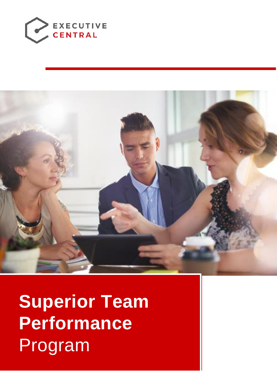



**Superior Team Performance**  Program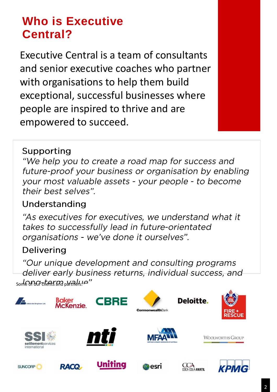# **Who is Executive Central?**

Executive Central is a team of consultants and senior executive coaches who partner with organisations to help them build exceptional, successful businesses where people are inspired to thrive and are empowered to succeed.

### Supporting

"We help you to create a road map for success and future-proof your business or organisation by enabling your most valuable assets - your people - to become their best selves".

## Understanding

"As executives for executives, we understand what it takes to successfully lead in future-orientated organisations - we've done it ourselves".

## **Delivering**

"Our unique development and consulting programs" deliver early business returns, individual success, and  $S$ ome of our clients and particle  $\sim$ 

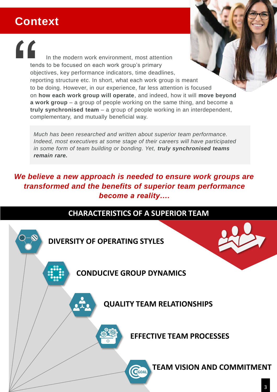# **Context**

In the modern work environment, most attention tends to be focused on each work group's primary objectives, key performance indicators, time deadlines, reporting structure etc. In short, what each work group is meant to be doing. However, in our experience, far less attention is focused on **how each work group will operate**, and indeed, how it will **move beyond a work group** – a group of people working on the same thing, and become a **truly synchronised team** – a group of people working in an interdependent, complementary, and mutually beneficial way. "

*Much has been researched and written about superior team performance. Indeed, most executives at some stage of their careers will have participated in some form of team building or bonding. Yet, truly synchronised teams remain rare.* 

### *We believe a new approach is needed to ensure work groups are transformed and the benefits of superior team performance become a reality….*

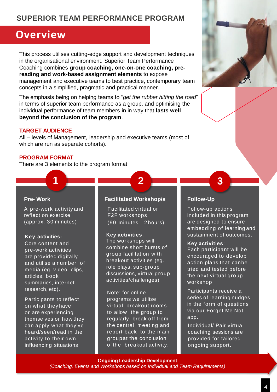### **SUPERIOR TEAM PERFORMANCE PROGRAM**

### **Overview**

This process utilises cutting-edge support and development techniques in the organisational environment. Superior Team Performance Coaching combines **group coaching, one-on-one coaching, prereading and work-based assignment elements** to expose management and executive teams to best practice, contemporary team concepts in a simplified, pragmatic and practical manner.

The emphasis being on helping teams to "*get the rubber hitting the road*" in terms of superior team performance as a group, and optimising the individual performance of team members in in way that **lasts well beyond the conclusion of the program**.

### **TARGET AUDIENCE**

All – levels of Management, leadership and executive teams (most of which are run as separate cohorts).

### **PROGRAM FORMAT**

There are 3 elements to the program format:

#### **Pre- Work**

A pre-work activity and reflection exercise (approx. 30 minutes)

**1**

#### **Key activities:**

Core content and pre-work activities are provided digitally and utilise a number of media (eg. video clips, articles, book summaries, internet research, etc).

Participants to reflect on what they have or are experiencing themselves or how they can apply what they've heard/seen/read in the activity to their own influencing situations.

### **Facilitated Workshop/s**

Facilitated virtual or F2F workshops (90 minutes – 2 hours)

#### **Key activities**:

The workshops will combine short bursts of group facilitation with breakout activities (eg. role plays, sub-group discussions, virtual group activities/challenges)

Note: for online programs we utilise virtual breakout rooms to allow the group to regularly break off from the central meeting and report back to the main groupat the conclusion of the breakout activity.

### **Follow-Up**

**2 3**

Follow-up actions included in this program are designed to ensure embedding of learning and sustainment of outcomes.

#### **Key activities**:

Each participant will be encouraged to develop action plans that canbe tried and tested before the next virtual group workshop

Participants receive a series of learning nudges in the form of questions via our Forget Me Not app.

Individual/ Pair virtual coaching sessions are provided for tailored ongoing support.

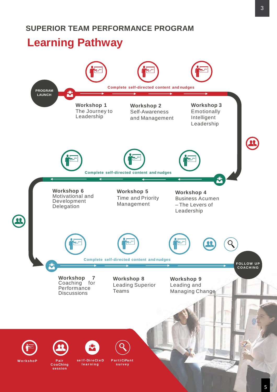## **Learning Pathway**

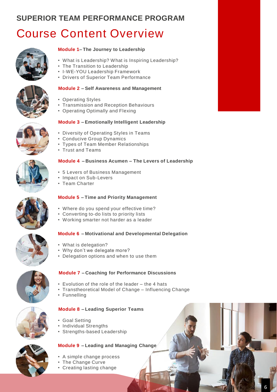### **SUPERIOR TEAM PERFORMANCE PROGRAM**

# Course Content Overview



### **Module 1 – The Journey to Leadership**

- What is Leadership? What is Inspiring Leadership?
- The Transition to Leadership
- I-WE-YOU Leadership Framework
- Drivers of Superior Team Performance

### **Module 2 – Self Awareness and Management**

- Operating Styles
- Transmission and Reception Behaviours
- Operating Optimally and Flexing

#### **Module 3 – Emotionally Intelligent Leadership**

- Diversity of Operating Styles in Teams
- Conducive Group Dynamics
- Types of Team Member Relationships
- Trust and Teams

#### **Module 4 – Business Acumen – The Levers of Leadership**

- 5 Levers of Business Management
- Impact on Sub-Levers
- Team Charter

### **Module 5 – Time and Priority Management**

- Where do you spend your effective time?
- Converting to-do lists to priority lists
- Working smarter not harder as a leader

### **Module 6 – Motivational and Developmental Delegation**

- What is delegation?
- Why don't we delegate more?
- Delegation options and when to use them



### **Module 7 – Coaching for Performance Discussions**

- Evolution of the role of the leader the 4 hats
- Transtheoretical Model of Change Influencing Change
- Funnelling

### **Module 8 – Leading Superior Teams**

**Module 9 – Leading and Managing Change**

- Goal Setting
- Individual Strengths
- Strengths-based Leadership



- 
- The Change Curve
- Creating lasting change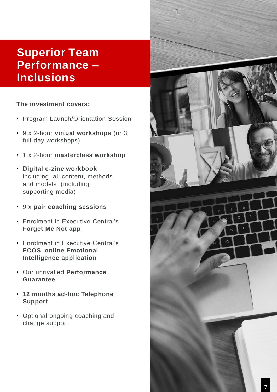# **Superior Team Performance – Inclusions**

### **The investment covers:**

- Program Launch/Orientation Session
- 9 x 2-hour **virtual workshops** (or 3 full-day workshops)
- 1 x 2-hour **masterclass workshop**
- **Digital e-zine workbook**  including all content, methods and models (including: supporting media)
- 9 x **pair coaching sessions**
- Enrolment in Executive Central's **Forget Me Not app**
- Enrolment in Executive Central's **ECOS online Emotional Intelligence application**
- Our unrivalled **Performance Guarantee**
- **12 months ad-hoc Telephone Support**
- Optional ongoing coaching and change support